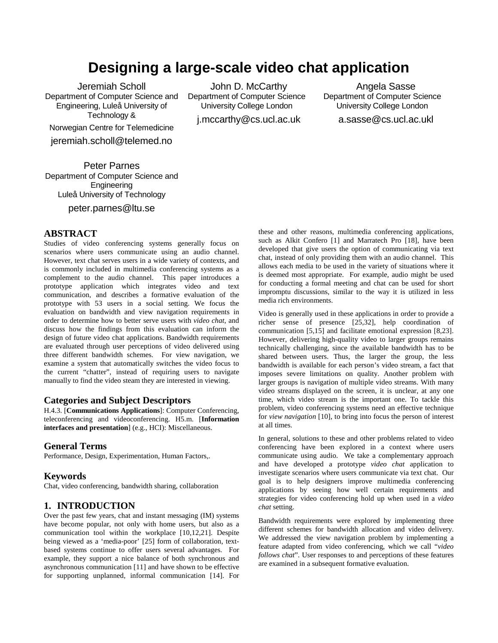# **Designing a large-scale video chat application**

Jeremiah Scholl Department of Computer Science and Engineering, Luleå University of Technology & Norwegian Centre for Telemedicine

jeremiah.scholl@telemed.no

Peter Parnes Department of Computer Science and Engineering Luleå University of Technology

peter.parnes@ltu.se

# **ABSTRACT**

Studies of video conferencing systems generally focus on scenarios where users communicate using an audio channel. However, text chat serves users in a wide variety of contexts, and is commonly included in multimedia conferencing systems as a complement to the audio channel. This paper introduces a prototype application which integrates video and text communication, and describes a formative evaluation of the prototype with 53 users in a social setting. We focus the evaluation on bandwidth and view navigation requirements in order to determine how to better serve users with *video chat,* and discuss how the findings from this evaluation can inform the design of future video chat applications. Bandwidth requirements are evaluated through user perceptions of video delivered using three different bandwidth schemes. For view navigation, we examine a system that automatically switches the video focus to the current "chatter", instead of requiring users to navigate manually to find the video steam they are interested in viewing.

#### **Categories and Subject Descriptors**

H.4.3. [**Communications Applications**]: Computer Conferencing, teleconferencing and videoconferencing. H5.m. [**Information interfaces and presentation**] (e.g., HCI): Miscellaneous.

#### **General Terms**

Performance, Design, Experimentation, Human Factors,.

#### **Keywords**

Chat, video conferencing, bandwidth sharing, collaboration

#### **1. INTRODUCTION**

Over the past few years, chat and instant messaging (IM) systems have become popular, not only with home users, but also as a communication tool within the workplace [10,12,21]. Despite being viewed as a 'media-poor' [25] form of collaboration, textbased systems continue to offer users several advantages. For example, they support a nice balance of both synchronous and asynchronous communication [11] and have shown to be effective for supporting unplanned, informal communication [14]. For

John D. McCarthy Department of Computer Science University College London

j.mccarthy@cs.ucl.ac.uk

Angela Sasse Department of Computer Science University College London a.sasse@cs.ucl.ac.ukl

these and other reasons, multimedia conferencing applications, such as Alkit Confero [1] and Marratech Pro [18], have been developed that give users the option of communicating via text chat, instead of only providing them with an audio channel. This allows each media to be used in the variety of situations where it is deemed most appropriate. For example, audio might be used for conducting a formal meeting and chat can be used for short impromptu discussions, similar to the way it is utilized in less media rich environments.

Video is generally used in these applications in order to provide a richer sense of presence [25,32], help coordination of communication [5,15] and facilitate emotional expression [8,23]. However, delivering high-quality video to larger groups remains technically challenging, since the available bandwidth has to be shared between users. Thus, the larger the group, the less bandwidth is available for each person's video stream, a fact that imposes severe limitations on quality. Another problem with larger groups is navigation of multiple video streams. With many video streams displayed on the screen, it is unclear, at any one time, which video stream is the important one. To tackle this problem, video conferencing systems need an effective technique for *view navigation* [10], to bring into focus the person of interest at all times.

In general, solutions to these and other problems related to video conferencing have been explored in a context where users communicate using audio. We take a complementary approach and have developed a prototype *video chat* application to investigate scenarios where users communicate via text chat. Our goal is to help designers improve multimedia conferencing applications by seeing how well certain requirements and strategies for video conferencing hold up when used in a *video chat* setting.

Bandwidth requirements were explored by implementing three different schemes for bandwidth allocation and video delivery. We addressed the view navigation problem by implementing a feature adapted from video conferencing, which we call "*video follows chat*". User responses to and perceptions of these features are examined in a subsequent formative evaluation.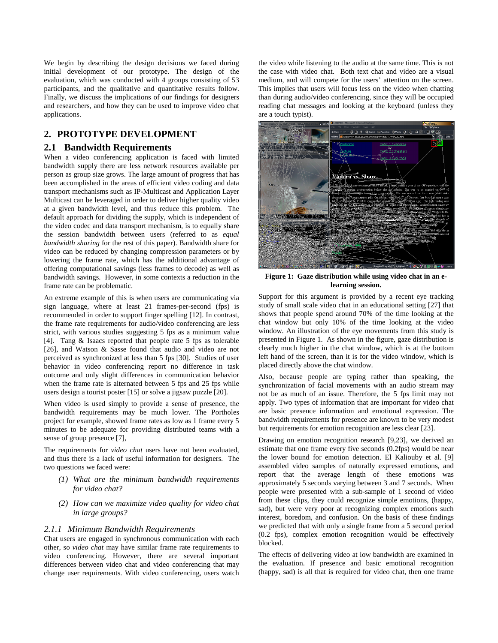We begin by describing the design decisions we faced during initial development of our prototype. The design of the evaluation, which was conducted with 4 groups consisting of 53 participants, and the qualitative and quantitative results follow. Finally, we discuss the implications of our findings for designers and researchers, and how they can be used to improve video chat applications.

# **2. PROTOTYPE DEVELOPMENT**

### **2.1 Bandwidth Requirements**

When a video conferencing application is faced with limited bandwidth supply there are less network resources available per person as group size grows. The large amount of progress that has been accomplished in the areas of efficient video coding and data transport mechanisms such as IP-Multicast and Application Layer Multicast can be leveraged in order to deliver higher quality video at a given bandwidth level, and thus reduce this problem. The default approach for dividing the supply, which is independent of the video codec and data transport mechanism, is to equally share the session bandwidth between users (referred to as *equal bandwidth sharing* for the rest of this paper). Bandwidth share for video can be reduced by changing compression parameters or by lowering the frame rate, which has the additional advantage of offering computational savings (less frames to decode) as well as bandwidth savings. However, in some contexts a reduction in the frame rate can be problematic.

An extreme example of this is when users are communicating via sign language, where at least 21 frames-per-second (fps) is recommended in order to support finger spelling [12]. In contrast, the frame rate requirements for audio/video conferencing are less strict, with various studies suggesting 5 fps as a minimum value [4]. Tang & Isaacs reported that people rate 5 fps as tolerable [26], and Watson & Sasse found that audio and video are not perceived as synchronized at less than 5 fps [30]. Studies of user behavior in video conferencing report no difference in task outcome and only slight differences in communication behavior when the frame rate is alternated between 5 fps and 25 fps while users design a tourist poster [15] or solve a jigsaw puzzle [20].

When video is used simply to provide a sense of presence, the bandwidth requirements may be much lower. The Portholes project for example, showed frame rates as low as 1 frame every 5 minutes to be adequate for providing distributed teams with a sense of group presence [7],

The requirements for *video chat* users have not been evaluated, and thus there is a lack of useful information for designers. The two questions we faced were:

- *(1) What are the minimum bandwidth requirements for video chat?*
- *(2) How can we maximize video quality for video chat in large groups?*

#### *2.1.1 Minimum Bandwidth Requirements*

Chat users are engaged in synchronous communication with each other, so *video chat* may have similar frame rate requirements to video conferencing. However, there are several important differences between video chat and video conferencing that may change user requirements. With video conferencing, users watch the video while listening to the audio at the same time. This is not the case with video chat. Both text chat and video are a visual medium, and will compete for the users' attention on the screen. This implies that users will focus less on the video when chatting than during audio/video conferencing, since they will be occupied reading chat messages and looking at the keyboard (unless they are a touch typist).



**Figure 1: Gaze distribution while using video chat in an elearning session.** 

Support for this argument is provided by a recent eye tracking study of small scale video chat in an educational setting [27] that shows that people spend around 70% of the time looking at the chat window but only 10% of the time looking at the video window. An illustration of the eye movements from this study is presented in Figure 1. As shown in the figure, gaze distribution is clearly much higher in the chat window, which is at the bottom left hand of the screen, than it is for the video window, which is placed directly above the chat window.

Also, because people are typing rather than speaking, the synchronization of facial movements with an audio stream may not be as much of an issue. Therefore, the 5 fps limit may not apply. Two types of information that are important for video chat are basic presence information and emotional expression. The bandwidth requirements for presence are known to be very modest but requirements for emotion recognition are less clear [23].

Drawing on emotion recognition research [9,23], we derived an estimate that one frame every five seconds (0.2fps) would be near the lower bound for emotion detection. El Kaliouby et al. [9] assembled video samples of naturally expressed emotions, and report that the average length of these emotions was approximately 5 seconds varying between 3 and 7 seconds. When people were presented with a sub-sample of 1 second of video from these clips, they could recognize simple emotions, (happy, sad), but were very poor at recognizing complex emotions such interest, boredom, and confusion. On the basis of these findings we predicted that with only a single frame from a 5 second period (0.2 fps), complex emotion recognition would be effectively blocked.

The effects of delivering video at low bandwidth are examined in the evaluation. If presence and basic emotional recognition (happy, sad) is all that is required for video chat, then one frame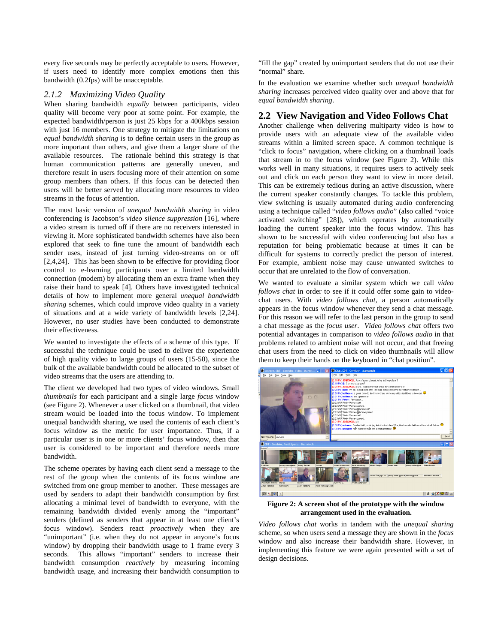every five seconds may be perfectly acceptable to users. However, if users need to identify more complex emotions then this bandwidth (0.2fps) will be unacceptable.

#### *2.1.2 Maximizing Video Quality*

When sharing bandwidth *equally* between participants, video quality will become very poor at some point. For example, the expected bandwidth/person is just 25 kbps for a 400kbps session with just 16 members. One strategy to mitigate the limitations on *equal bandwidth sharing* is to define certain users in the group as more important than others, and give them a larger share of the available resources. The rationale behind this strategy is that human communication patterns are generally uneven, and therefore result in users focusing more of their attention on some group members than others. If this focus can be detected then users will be better served by allocating more resources to video streams in the focus of attention.

The most basic version of *unequal bandwidth sharing* in video conferencing is Jacobson's *video silence suppression* [16], where a video stream is turned off if there are no receivers interested in viewing it. More sophisticated bandwidth schemes have also been explored that seek to fine tune the amount of bandwidth each sender uses, instead of just turning video-streams on or off [2,4,24]. This has been shown to be effective for providing floor control to e-learning participants over a limited bandwidth connection (modem) by allocating them an extra frame when they raise their hand to speak [4]. Others have investigated technical details of how to implement more general *unequal bandwidth sharing* schemes, which could improve video quality in a variety of situations and at a wide variety of bandwidth levels [2,24]. However, no user studies have been conducted to demonstrate their effectiveness.

We wanted to investigate the effects of a scheme of this type. If successful the technique could be used to deliver the experience of high quality video to large groups of users (15-50), since the bulk of the available bandwidth could be allocated to the subset of video streams that the users are attending to.

The client we developed had two types of video windows. Small *thumbnails* for each participant and a single large *focus* window (see Figure 2). Whenever a user clicked on a thumbnail, that video stream would be loaded into the focus window. To implement unequal bandwidth sharing, we used the contents of each client's focus window as the metric for user importance. Thus, if a particular user is in one or more clients' focus window, then that user is considered to be important and therefore needs more bandwidth.

The scheme operates by having each client send a message to the rest of the group when the contents of its focus window are switched from one group member to another. These messages are used by senders to adapt their bandwidth consumption by first allocating a minimal level of bandwidth to everyone, with the remaining bandwidth divided evenly among the "important" senders (defined as senders that appear in at least one client's focus window). Senders react *proactively* when they are "unimportant" (i.e. when they do not appear in anyone's focus window) by dropping their bandwidth usage to 1 frame every 3 seconds. This allows "important" senders to increase their This allows "important" senders to increase their bandwidth consumption *reactively* by measuring incoming bandwidth usage, and increasing their bandwidth consumption to "fill the gap" created by unimportant senders that do not use their "normal" share.

In the evaluation we examine whether such *unequal bandwidth sharing* increases perceived video quality over and above that for *equal bandwidth sharing*.

# **2.2 View Navigation and Video Follows Chat**

Another challenge when delivering multiparty video is how to provide users with an adequate view of the available video streams within a limited screen space. A common technique is "click to focus" navigation, where clicking on a thumbnail loads that stream in to the focus window (see Figure 2). While this works well in many situations, it requires users to actively seek out and click on each person they want to view in more detail. This can be extremely tedious during an active discussion, where the current speaker constantly changes. To tackle this problem, view switching is usually automated during audio conferencing using a technique called "*video follows audio*" (also called "voice activated switching" [28]), which operates by automatically loading the current speaker into the focus window. This has shown to be successful with video conferencing but also has a reputation for being problematic because at times it can be difficult for systems to correctly predict the person of interest. For example, ambient noise may cause unwanted switches to occur that are unrelated to the flow of conversation.

We wanted to evaluate a similar system which we call *video follows chat* in order to see if it could offer some gain to videochat users. With *video follows chat,* a person automatically appears in the focus window whenever they send a chat message. For this reason we will refer to the last person in the group to send a chat message as the *focus user*. *Video follows chat* offers two potential advantages in comparison to *video follows audio* in that problems related to ambient noise will not occur, and that freeing chat users from the need to click on video thumbnails will allow them to keep their hands on the keyboard in "chat position".



**Figure 2: A screen shot of the prototype with the window arrangement used in the evaluation.** 

*Video follows chat* works in tandem with the *unequal sharing* scheme, so when users send a message they are shown in the *focus* window and also increase their bandwidth share. However, in implementing this feature we were again presented with a set of design decisions.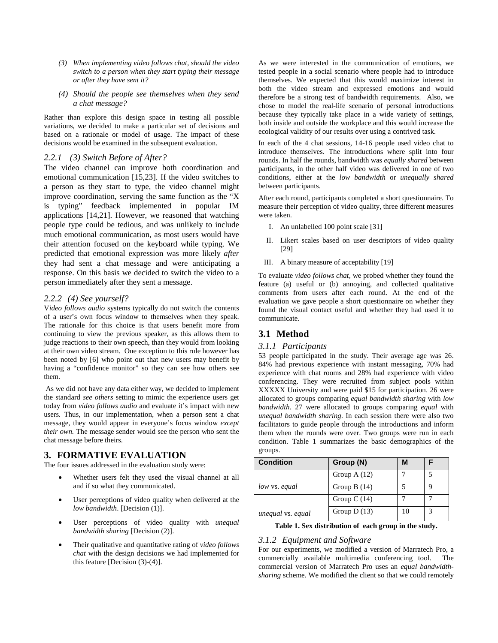- *(3) When implementing video follows chat, should the video switch to a person when they start typing their message or after they have sent it?*
- *(4) Should the people see themselves when they send a chat message?*

Rather than explore this design space in testing all possible variations, we decided to make a particular set of decisions and based on a rationale or model of usage. The impact of these decisions would be examined in the subsequent evaluation.

#### *2.2.1 (3) Switch Before of After?*

The video channel can improve both coordination and emotional communication [15,23]. If the video switches to a person as they start to type, the video channel might improve coordination, serving the same function as the "X is typing" feedback implemented in popular IM applications [14,21]. However, we reasoned that watching people type could be tedious, and was unlikely to include much emotional communication, as most users would have their attention focused on the keyboard while typing. We predicted that emotional expression was more likely *after* they had sent a chat message and were anticipating a response. On this basis we decided to switch the video to a person immediately after they sent a message.

#### *2.2.2 (4) See yourself?*

V*ideo follows audio* systems typically do not switch the contents of a user's own focus window to themselves when they speak. The rationale for this choice is that users benefit more from continuing to view the previous speaker, as this allows them to judge reactions to their own speech, than they would from looking at their own video stream. One exception to this rule however has been noted by [6] who point out that new users may benefit by having a "confidence monitor" so they can see how others see them.

 As we did not have any data either way, we decided to implement the standard *see others* setting to mimic the experience users get today from *video follows audio* and evaluate it's impact with new users*.* Thus, in our implementation, when a person sent a chat message, they would appear in everyone's focus window *except their own.* The message sender would see the person who sent the chat message before theirs.

# **3. FORMATIVE EVALUATION**

The four issues addressed in the evaluation study were:

- Whether users felt they used the visual channel at all and if so what they communicated.
- User perceptions of video quality when delivered at the *low bandwidth*. [Decision (1)].
- User perceptions of video quality with *unequal bandwidth sharing* [Decision (2)].
- Their qualitative and quantitative rating of *video follows chat* with the design decisions we had implemented for this feature [Decision (3)-(4)].

As we were interested in the communication of emotions, we tested people in a social scenario where people had to introduce themselves. We expected that this would maximize interest in both the video stream and expressed emotions and would therefore be a strong test of bandwidth requirements. Also, we chose to model the real-life scenario of personal introductions because they typically take place in a wide variety of settings, both inside and outside the workplace and this would increase the ecological validity of our results over using a contrived task.

In each of the 4 chat sessions, 14-16 people used video chat to introduce themselves. The introductions where split into four rounds. In half the rounds, bandwidth was *equally shared* between participants, in the other half video was delivered in one of two conditions, either at the *low bandwidth* or *unequally shared* between participants.

After each round, participants completed a short questionnaire. To measure their perception of video quality, three different measures were taken.

- I. An unlabelled 100 point scale [31]
- II. Likert scales based on user descriptors of video quality [29]
- III. A binary measure of acceptability [19]

To evaluate *video follows chat,* we probed whether they found the feature (a) useful or (b) annoying, and collected qualitative comments from users after each round. At the end of the evaluation we gave people a short questionnaire on whether they found the visual contact useful and whether they had used it to communicate.

# **3.1 Method**

#### *3.1.1 Participants*

53 people participated in the study. Their average age was 26. 84% had previous experience with instant messaging, 70% had experience with chat rooms and 28% had experience with video conferencing. They were recruited from subject pools within XXXXX University and were paid \$15 for participation. 26 were allocated to groups comparing *equal bandwidth sharing* with *low bandwidth*. 27 were allocated to groups comparing *equal* with *unequal bandwidth sharing*. In each session there were also two facilitators to guide people through the introductions and inform them when the rounds were over. Two groups were run in each condition. Table 1 summarizes the basic demographics of the groups.

| <b>Condition</b>                | Group (N)      | М  |  |
|---------------------------------|----------------|----|--|
|                                 | Group $A(12)$  |    |  |
| low vs. equal                   | Group B $(14)$ |    |  |
|                                 | Group C $(14)$ |    |  |
| <i>unequal</i> vs. <i>equal</i> | Group $D(13)$  | 10 |  |

**Table 1. Sex distribution of each group in the study.** 

## *3.1.2 Equipment and Software*

For our experiments, we modified a version of Marratech Pro, a commercially available multimedia conferencing tool. The commercial version of Marratech Pro uses an *equal bandwidthsharing* scheme. We modified the client so that we could remotely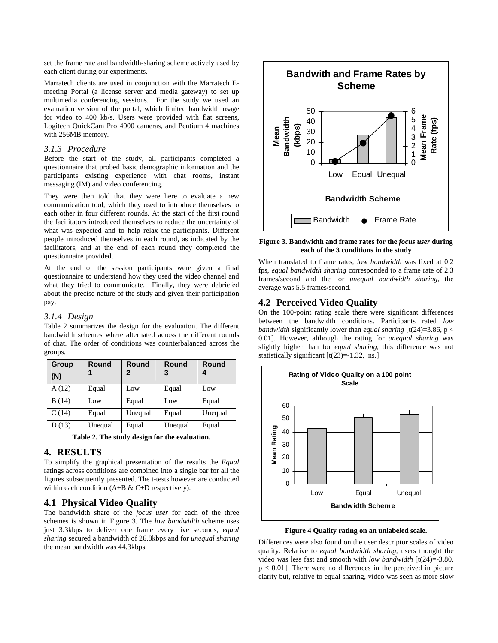set the frame rate and bandwidth-sharing scheme actively used by each client during our experiments.

Marratech clients are used in conjunction with the Marratech Emeeting Portal (a license server and media gateway) to set up multimedia conferencing sessions. For the study we used an evaluation version of the portal, which limited bandwidth usage for video to 400 kb/s. Users were provided with flat screens, Logitech QuickCam Pro 4000 cameras, and Pentium 4 machines with 256MB memory.

#### *3.1.3 Procedure*

Before the start of the study, all participants completed a questionnaire that probed basic demographic information and the participants existing experience with chat rooms, instant messaging (IM) and video conferencing.

They were then told that they were here to evaluate a new communication tool, which they used to introduce themselves to each other in four different rounds. At the start of the first round the facilitators introduced themselves to reduce the uncertainty of what was expected and to help relax the participants. Different people introduced themselves in each round, as indicated by the facilitators, and at the end of each round they completed the questionnaire provided.

At the end of the session participants were given a final questionnaire to understand how they used the video channel and what they tried to communicate. Finally, they were debriefed about the precise nature of the study and given their participation pay.

## *3.1.4 Design*

Table 2 summarizes the design for the evaluation. The different bandwidth schemes where alternated across the different rounds of chat. The order of conditions was counterbalanced across the groups.

| Group<br>(N) | Round   | <b>Round</b><br>$\mathbf 2$ | Round<br>3 | Round   |  |
|--------------|---------|-----------------------------|------------|---------|--|
| A(12)        | Equal   | Low                         | Equal      | Low     |  |
| B(14)        | Low     | Equal                       | Low        | Equal   |  |
| C(14)        | Equal   | Unequal                     | Equal      | Unequal |  |
| D(13)        | Unequal | Equal                       | Unequal    | Equal   |  |



# **4. RESULTS**

To simplify the graphical presentation of the results the *Equal* ratings across conditions are combined into a single bar for all the figures subsequently presented. The t-tests however are conducted within each condition  $(A+B \& C+D$  respectively).

# **4.1 Physical Video Quality**

The bandwidth share of the *focus user* for each of the three schemes is shown in Figure 3. The *low bandwidth* scheme uses just 3.3kbps to deliver one frame every five seconds, *equal sharing* secured a bandwidth of 26.8kbps and for *unequal sharing* the mean bandwidth was 44.3kbps.



**Figure 3. Bandwidth and frame rates for the** *focus user* **during each of the 3 conditions in the study** 

When translated to frame rates, *low bandwidth* was fixed at 0.2 fps, *equal bandwidth sharing* corresponded to a frame rate of 2.3 frames/second and the for *unequal bandwidth sharing,* the average was 5.5 frames/second.

## **4.2 Perceived Video Quality**

On the 100-point rating scale there were significant differences between the bandwidth conditions. Participants rated *low bandwidth* significantly lower than *equal sharing*  $[t(24)=3.86, p <$ 0.01]. However, although the rating for *unequal sharing* was slightly higher than for *equal sharing,* this difference was not statistically significant  $[t(23)=1.32, \text{ ns.}]$ 



**Figure 4 Quality rating on an unlabeled scale.** 

Differences were also found on the user descriptor scales of video quality. Relative to *equal bandwidth sharing*, users thought the video was less fast and smooth with *low bandwidth* [t(24)=-3.80,  $p < 0.01$ . There were no differences in the perceived in picture clarity but, relative to equal sharing, video was seen as more slow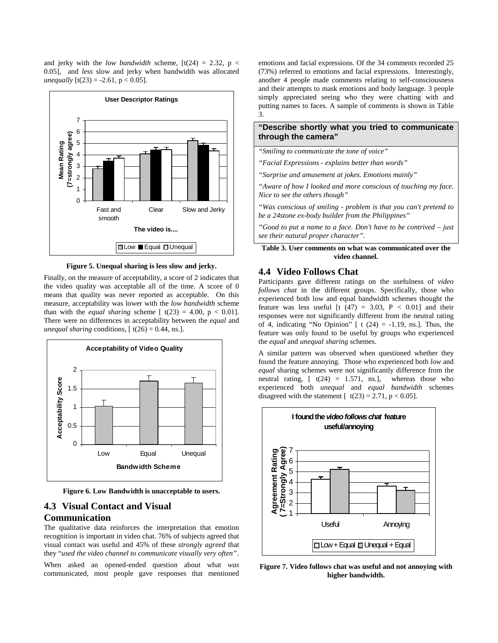and jerky with the *low bandwidth* scheme,  $[t(24) = 2.32, p <$ 0.05], and *less* slow and jerky when bandwidth was allocated *unequally*  $[t(23) = -2.61, p < 0.05]$ .



**Figure 5. Unequal sharing is less slow and jerky.** 

Finally, on the measure of acceptability, a score of 2 indicates that the video quality was acceptable all of the time. A score of 0 means that quality was never reported as acceptable. On this measure, acceptability was lower with the *low bandwidth* scheme than with the *equal sharing* scheme [  $t(23) = 4.00$ ,  $p < 0.01$ ]. There were no differences in acceptability between the *equal* and *unequal sharing conditions,*  $[t(26) = 0.44, ns.]$ 



**Figure 6. Low Bandwidth is unacceptable to users.** 

# **4.3 Visual Contact and Visual Communication**

The qualitative data reinforces the interpretation that emotion recognition is important in video chat. 76% of subjects agreed that visual contact was useful and 45% of these *strongly agreed* that they "*used the video channel to communicate visually very often"*.

When asked an opened-ended question about what *was*  communicated, most people gave responses that mentioned emotions and facial expressions. Of the 34 comments recorded 25 (73%) referred to emotions and facial expressions. Interestingly, another 4 people made comments relating to self-consciousness and their attempts to mask emotions and body language. 3 people simply appreciated seeing who they were chatting with and putting names to faces. A sample of comments is shown in Table 3.

## **"Describe shortly what you tried to communicate through the camera"**

*"Smiling to communicate the tone of voice"* 

*"Facial Expressions - explains better than words"* 

*"Surprise and amusement at jokes. Emotions mainly"* 

*"Aware of how I looked and more conscious of touching my face. Nice to see the others though"* 

*"Was conscious of smiling - problem is that you can't pretend to be a 24stone ex-body builder from the Philippines"* 

*"Good to put a name to a face. Don't have to be contrived – just see their natural proper character".* 

**Table 3. User comments on what was communicated over the video channel.** 

# **4.4 Video Follows Chat**

Participants gave different ratings on the usefulness of *video follows chat* in the different groups. Specifically, those who experienced both low and equal bandwidth schemes thought the feature was less useful [t  $(47) = 3.03$ , P < 0.01] and their responses were not significantly different from the neutral rating of 4, indicating "No Opinion"  $[$  t (24) = -1.19, ns.]. Thus, the feature was only found to be useful by groups who experienced the *equal* and *unequal sharing* schemes.

A similar pattern was observed when questioned whether they found the feature annoying. Those who experienced both *low* and *equal* sharing schemes were not significantly difference from the neutral rating,  $\left[ (24) = 1.571, \text{ns.} \right]$ , whereas those who experienced both *unequal* and *equal bandwidth* schemes disagreed with the statement  $\lceil t(23) = 2.71$ ,  $p < 0.05$ ].



**Figure 7. Video follows chat was useful and not annoying with higher bandwidth.**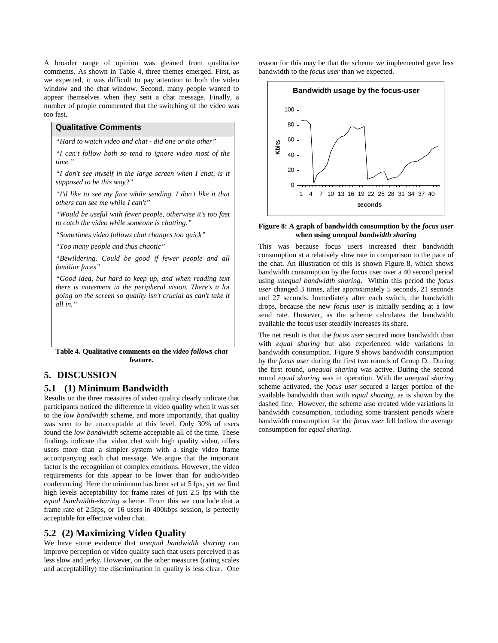A broader range of opinion was gleaned from qualitative comments. As shown in Table 4, three themes emerged. First, as we expected, it was difficult to pay attention to both the video window and the chat window. Second, many people wanted to appear themselves when they sent a chat message. Finally, a number of people commented that the switching of the video was too fast.

| <b>Qualitative Comments</b> |
|-----------------------------|
|-----------------------------|

*"Hard to watch video and chat - did one or the other"* 

*"I can't follow both so tend to ignore video most of the time."* 

*"I don't see myself in the large screen when I chat, is it supposed to be this way?"* 

*"I'd like to see my face while sending. I don't like it that others can see me while I can't"* 

*"Would be useful with fewer people, otherwise it's too fast to catch the video while someone is chatting."* 

*"Sometimes video follows chat changes too quick"* 

*"Too many people and thus chaotic"* 

*"Bewildering. Could be good if fewer people and all familiar faces"* 

*"Good idea, but hard to keep up, and when reading text there is movement in the peripheral vision. There's a lot going on the screen so quality isn't crucial as can't take it all in."* 

**Table 4. Qualitative comments on the** *video follows chat* **feature.** 

# **5. DISCUSSION**

# **5.1 (1) Minimum Bandwidth**

Results on the three measures of video quality clearly indicate that participants noticed the difference in video quality when it was set to the *low bandwidth* scheme, and more importantly, that quality was seen to be unacceptable at this level. Only 30% of users found the *low bandwidth* scheme acceptable all of the time. These findings indicate that video chat with high quality video, offers users more than a simpler system with a single video frame accompanying each chat message. We argue that the important factor is the recognition of complex emotions. However, the video requirements for this appear to be lower than for audio/video conferencing. Here the minimum has been set at 5 fps, yet we find high levels acceptability for frame rates of just 2.5 fps with the *equal bandwidth-sharing* scheme. From this we conclude that a frame rate of 2.5fps, or 16 users in 400kbps session, is perfectly acceptable for effective video chat.

# **5.2 (2) Maximizing Video Quality**

We have some evidence that *unequal bandwidth sharing* can improve perception of video quality such that users perceived it as less slow and jerky. However, on the other measures (rating scales and acceptability) the discrimination in quality is less clear. One reason for this may be that the scheme we implemented gave less bandwidth to the *focus user* than we expected.



#### **Figure 8: A graph of bandwidth consumption by the** *focus user* **when using** *unequal bandwidth sharing*

This was because focus users increased their bandwidth consumption at a relatively slow rate in comparison to the pace of the chat. An illustration of this is shown Figure 8, which shows bandwidth consumption by the focus user over a 40 second period using *unequal bandwidth sharing*. Within this period the *focus user* changed 3 times, after approximately 5 seconds, 21 seconds and 27 seconds. Immediately after each switch, the bandwidth drops, because the new *focus user* is initially sending at a low send rate. However, as the scheme calculates the bandwidth available the focus user steadily increases its share.

The net result is that the *focus user* secured more bandwidth than with *equal sharing* but also experienced wide variations in bandwidth consumption. Figure 9 shows bandwidth consumption by the *focus user* during the first two rounds of Group D. During the first round, *unequal sharing* was active. During the second round *equal sharing* was in operation. With the *unequal sharing* scheme activated, the *focus user* secured a larger portion of the available bandwidth than with *equal sharing,* as is shown by the dashed line. However, the scheme also created wide variations in bandwidth consumption, including some transient periods where bandwidth consumption for the *focus user* fell bellow the average consumption for *equal sharing*.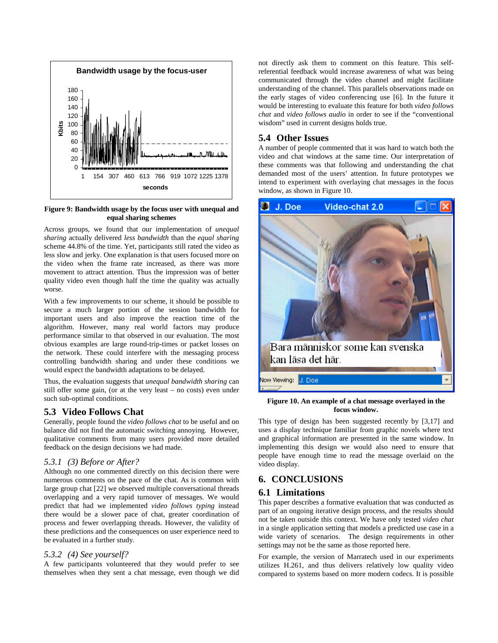

**Figure 9: Bandwidth usage by the focus user with unequal and equal sharing schemes** 

Across groups, we found that our implementation of *unequal sharing* actually delivered *less bandwidth* than the *equal sharing*  scheme 44.8% of the time. Yet, participants still rated the video as less slow and jerky. One explanation is that users focused more on the video when the frame rate increased, as there was more movement to attract attention. Thus the impression was of better quality video even though half the time the quality was actually worse.

With a few improvements to our scheme, it should be possible to secure a much larger portion of the session bandwidth for important users and also improve the reaction time of the algorithm. However, many real world factors may produce performance similar to that observed in our evaluation. The most obvious examples are large round-trip-times or packet losses on the network. These could interfere with the messaging process controlling bandwidth sharing and under these conditions we would expect the bandwidth adaptations to be delayed.

Thus, the evaluation suggests that *unequal bandwidth sharing* can still offer some gain, (or at the very least – no costs) even under such sub-optimal conditions.

# **5.3 Video Follows Chat**

Generally, people found the *video follows chat* to be useful and on balance did not find the automatic switching annoying. However, qualitative comments from many users provided more detailed feedback on the design decisions we had made.

#### *5.3.1 (3) Before or After?*

Although no one commented directly on this decision there were numerous comments on the pace of the chat. As is common with large group chat [22] we observed multiple conversational threads overlapping and a very rapid turnover of messages. We would predict that had we implemented *video follows typing* instead there would be a slower pace of chat, greater coordination of process and fewer overlapping threads. However, the validity of these predictions and the consequences on user experience need to be evaluated in a further study.

#### *5.3.2 (4) See yourself?*

A few participants volunteered that they would prefer to see themselves when they sent a chat message, even though we did not directly ask them to comment on this feature. This selfreferential feedback would increase awareness of what was being communicated through the video channel and might facilitate understanding of the channel. This parallels observations made on the early stages of video conferencing use [6]. In the future it would be interesting to evaluate this feature for both *video follows chat* and *video follows audio* in order to see if the "conventional wisdom" used in current designs holds true.

## **5.4 Other Issues**

A number of people commented that it was hard to watch both the video and chat windows at the same time. Our interpretation of these comments was that following and understanding the chat demanded most of the users' attention. In future prototypes we intend to experiment with overlaying chat messages in the focus window, as shown in Figure 10.



**Figure 10. An example of a chat message overlayed in the focus window.** 

This type of design has been suggested recently by [3,17] and uses a display technique familiar from graphic novels where text and graphical information are presented in the same window. In implementing this design we would also need to ensure that people have enough time to read the message overlaid on the video display.

# **6. CONCLUSIONS**

#### **6.1 Limitations**

This paper describes a formative evaluation that was conducted as part of an ongoing iterative design process, and the results should not be taken outside this context. We have only tested *video chat* in a single application setting that models a predicted use case in a wide variety of scenarios. The design requirements in other settings may not be the same as those reported here.

For example, the version of Marratech used in our experiments utilizes H.261, and thus delivers relatively low quality video compared to systems based on more modern codecs. It is possible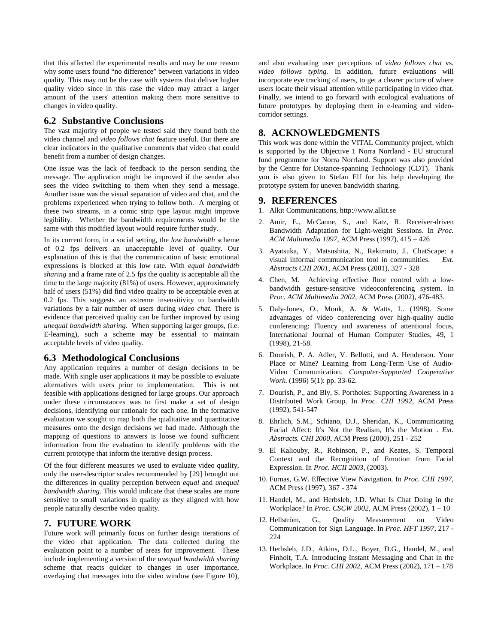that this affected the experimental results and may be one reason why some users found "no difference" between variations in video quality. This may not be the case with systems that deliver higher quality video since in this case the video may attract a larger amount of the users' attention making them more sensitive to changes in video quality.

### **6.2 Substantive Conclusions**

The vast majority of people we tested said they found both the video channel and *video follows chat* feature useful. But there are clear indicators in the qualitative comments that video chat could benefit from a number of design changes.

One issue was the lack of feedback to the person sending the message. The application might be improved if the sender also sees the video switching to them when they send a message. Another issue was the visual separation of video and chat, and the problems experienced when trying to follow both. A merging of these two streams, in a comic strip type layout might improve legibility. Whether the bandwidth requirements would be the same with this modified layout would require further study.

In its current form, in a social setting, the *low bandwidth* scheme of 0.2 fps delivers an unacceptable level of quality. Our explanation of this is that the communication of basic emotional expressions is blocked at this low rate. With *equal bandwidth sharing* and a frame rate of 2.5 fps the quality is acceptable all the time to the large majority (81%) of users. However, approximately half of users (51%) did find video quality to be acceptable even at 0.2 fps. This suggests an extreme insensitivity to bandwidth variations by a fair number of users during *video chat*. There is evidence that perceived quality can be further improved by using *unequal bandwidth sharing*. When supporting larger groups, (i.e. E-learning), such a scheme may be essential to maintain acceptable levels of video quality.

# **6.3 Methodological Conclusions**

Any application requires a number of design decisions to be made. With single user applications it may be possible to evaluate alternatives with users prior to implementation. This is not feasible with applications designed for large groups. Our approach under these circumstances was to first make a set of design decisions, identifying our rationale for each one. In the formative evaluation we sought to map both the qualitative and quantitative measures onto the design decisions we had made. Although the mapping of questions to answers is loose we found sufficient information from the evaluation to identify problems with the current prototype that inform the iterative design process.

Of the four different measures we used to evaluate video quality, only the user-descriptor scales recommended by [29] brought out the differences in quality perception between *equal* and *unequal bandwidth sharing*. This would indicate that these scales are more sensitive to small variations in quality as they aligned with how people naturally describe video quality.

# **7. FUTURE WORK**

Future work will primarily focus on further design iterations of the video chat application. The data collected during the evaluation point to a number of areas for improvement. These include implementing a version of the *unequal bandwidth sharing*  scheme that reacts quicker to changes in user importance, overlaying chat messages into the video window (see Figure 10),

and also evaluating user perceptions of *video follows chat* vs. *video follows typing.* In addition, future evaluations will incorporate eye tracking of users, to get a clearer picture of where users locate their visual attention while participating in video chat. Finally, we intend to go forward with ecological evaluations of future prototypes by deploying them in e-learning and videocorridor settings.

# **8. ACKNOWLEDGMENTS**

This work was done within the VITAL Community project, which is supported by the Objective 1 Norra Norrland - EU structural fund programme for Norra Norrland. Support was also provided by the Centre for Distance-spanning Technology (CDT). Thank you is also given to Stefan Elf for his help developing the prototype system for uneven bandwidth sharing.

#### **9. REFERENCES**

- 1. Alkit Communications, http://www.alkit.se
- 2. Amir, E., McCanne, S., and Katz, R. Receiver-driven Bandwidth Adaptation for Light-weight Sessions. In *Proc. ACM Multimedia 1997,* ACM Press (1997), 415 – 426
- 3. Ayatsuka, Y., Matsushita, N., Rekimoto, J., ChatScape: a visual informal communication tool in communities. *Ext. Abstracts CHI 2001*, ACM Press (2001), 327 - 328
- 4. Chen, M. Achieving effective floor control with a lowbandwidth gesture-sensitive videoconferencing system. In *Proc. ACM Multimedia 2002,* ACM Press (2002), 476-483.
- 5. Daly-Jones, O., Monk, A. & Watts, L. (1998). Some advantages of video conferencing over high-quality audio conferencing: Fluency and awareness of attentional focus, International Journal of Human Computer Studies, 49, 1 (1998), 21-58.
- 6. Dourish, P. A. Adler, V. Bellotti, and A. Henderson. Your Place or Mine? Learning from Long-Term Use of Audio-Video Communication. *Computer-Supported Cooperative Work*. (1996) 5(1): pp. 33-62.
- 7. Dourish, P., and Bly, S. Portholes: Supporting Awareness in a Distributed Work Group. In *Proc. CHI 1992,* ACM Press (1992), 541-547
- 8. Ehrlich, S.M., Schiano, D.J., Sheridan, K., Communicating Facial Affect: It's Not the Realism, It's the Motion . *Ext. Abstracts. CHI 2000,* ACM Press (2000), 251 - 252
- 9. El Kaliouby, R., Robinson, P., and Keates, S. Temporal Context and the Recognition of Emotion from Facial Expression. In *Proc. HCII 2003,* (2003).
- 10. Furnas, G.W. Effective View Navigation. In *Proc. CHI 1997,*  ACM Press (1997), 367 - 374
- 11. Handel, M., and Herbsleb, J.D. What Is Chat Doing in the Workplace? In *Proc. CSCW 2002,* ACM Press (2002), 1 – 10
- 12. Hellström, G., Quality Measurement on Video Communication for Sign Language. In *Proc. HFT 1997*, 217 - 224
- 13. Herbsleb, J.D., Atkins, D.L., Boyer, D.G., Handel, M., and Finholt, T.A. Introducing Instant Messaging and Chat in the Workplace. In *Proc. CHI 2002,* ACM Press (2002), 171 – 178